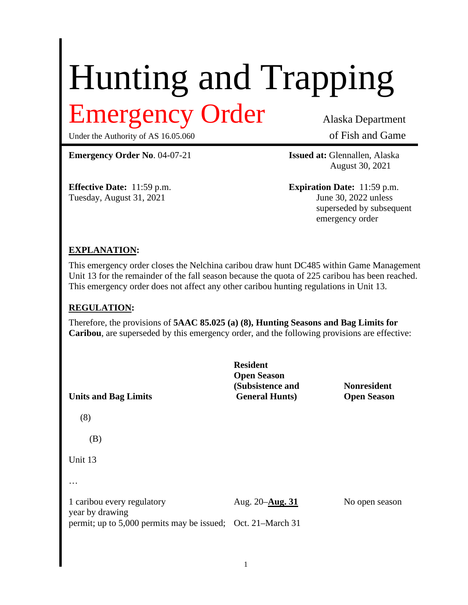# Hunting and Trapping Emergency Order Alaska Department

Under the Authority of AS 16.05.060 of Fish and Game

**Emergency Order No.** 04-07-21 **Issued at:** Glennallen, Alaska

Tuesday, August 31, 2021 June 30, 2022 unless

August 30, 2021

**Effective Date:** 11:59 p.m. **Expiration Date:** 11:59 p.m. superseded by subsequent emergency order

### **EXPLANATION:**

This emergency order closes the Nelchina caribou draw hunt DC485 within Game Management Unit 13 for the remainder of the fall season because the quota of 225 caribou has been reached. This emergency order does not affect any other caribou hunting regulations in Unit 13.

#### **REGULATION:**

Therefore, the provisions of **5AAC 85.025 (a) (8), Hunting Seasons and Bag Limits for Caribou**, are superseded by this emergency order, and the following provisions are effective:

**Resident Open Season (Subsistence and Nonresident Units and Bag Limits General Hunts) Open Season** (8) (B) Unit 13 … 1 caribou every regulatory Aug. 20–**Aug. 31** No open season year by drawing permit; up to 5,000 permits may be issued; Oct. 21–March 31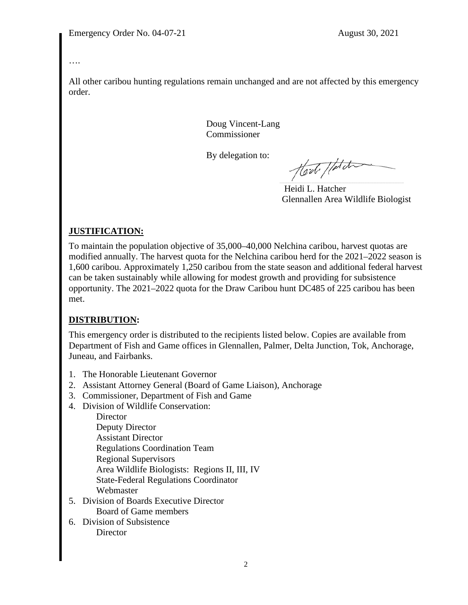….

All other caribou hunting regulations remain unchanged and are not affected by this emergency order.

> Doug Vincent-Lang Commissioner

By delegation to:

Hod / data

 Heidi L. Hatcher Glennallen Area Wildlife Biologist

## **JUSTIFICATION:**

To maintain the population objective of 35,000–40,000 Nelchina caribou, harvest quotas are modified annually. The harvest quota for the Nelchina caribou herd for the 2021–2022 season is 1,600 caribou. Approximately 1,250 caribou from the state season and additional federal harvest can be taken sustainably while allowing for modest growth and providing for subsistence opportunity. The 2021–2022 quota for the Draw Caribou hunt DC485 of 225 caribou has been met.

## **DISTRIBUTION:**

This emergency order is distributed to the recipients listed below. Copies are available from Department of Fish and Game offices in Glennallen, Palmer, Delta Junction, Tok, Anchorage, Juneau, and Fairbanks.

- 1. The Honorable Lieutenant Governor
- 2. Assistant Attorney General (Board of Game Liaison), Anchorage
- 3. Commissioner, Department of Fish and Game
- 4. Division of Wildlife Conservation:

**Director** Deputy Director Assistant Director Regulations Coordination Team Regional Supervisors Area Wildlife Biologists: Regions II, III, IV State-Federal Regulations Coordinator Webmaster

- 5. Division of Boards Executive Director Board of Game members
- 6. Division of Subsistence **Director**